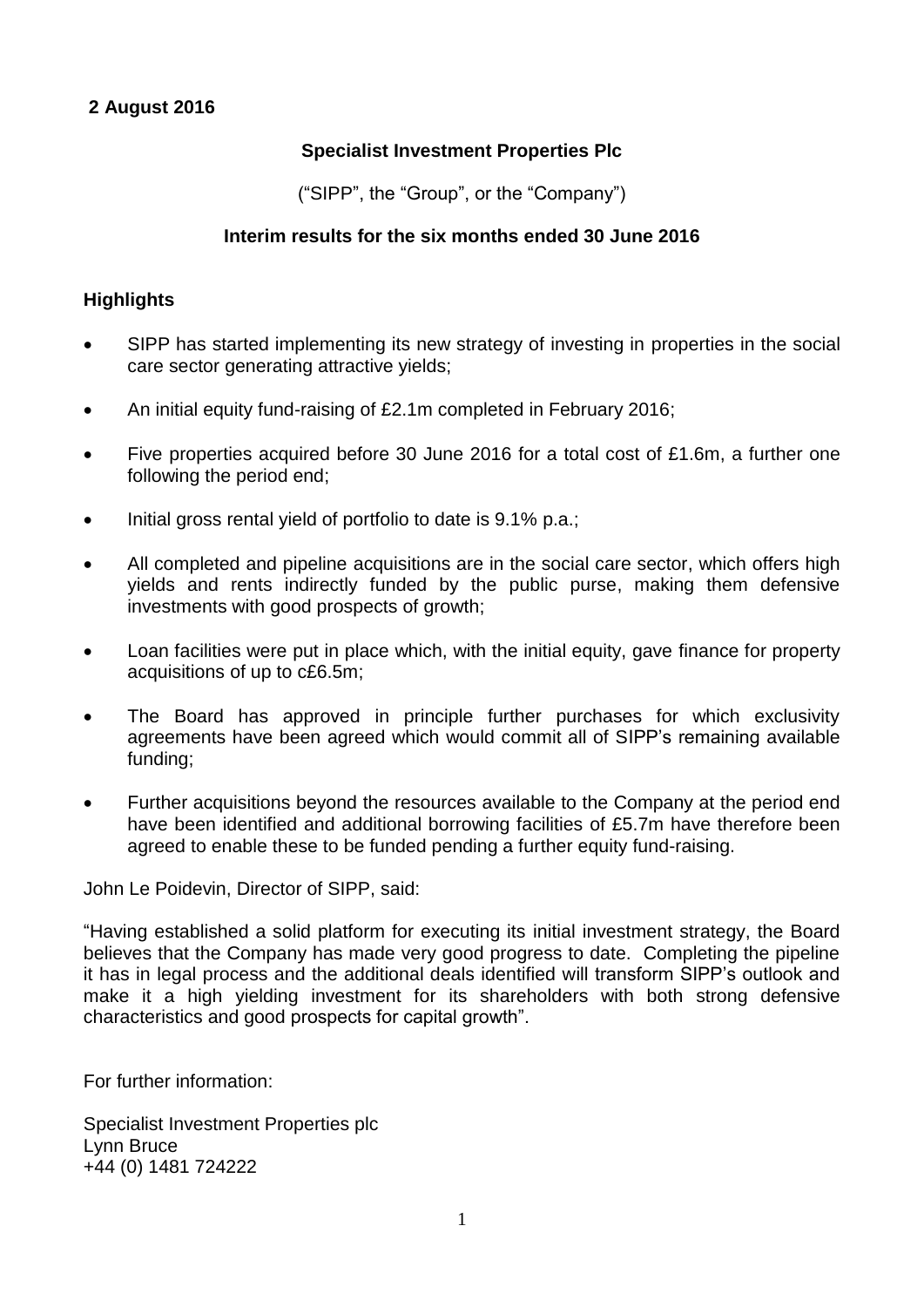# **Specialist Investment Properties Plc**

("SIPP", the "Group", or the "Company")

# **Interim results for the six months ended 30 June 2016**

# **Highlights**

- SIPP has started implementing its new strategy of investing in properties in the social care sector generating attractive yields;
- An initial equity fund-raising of £2.1m completed in February 2016;
- Five properties acquired before 30 June 2016 for a total cost of £1.6m, a further one following the period end;
- Initial gross rental yield of portfolio to date is 9.1% p.a.;
- All completed and pipeline acquisitions are in the social care sector, which offers high yields and rents indirectly funded by the public purse, making them defensive investments with good prospects of growth;
- Loan facilities were put in place which, with the initial equity, gave finance for property acquisitions of up to c£6.5m;
- The Board has approved in principle further purchases for which exclusivity agreements have been agreed which would commit all of SIPP's remaining available funding;
- Further acquisitions beyond the resources available to the Company at the period end have been identified and additional borrowing facilities of £5.7m have therefore been agreed to enable these to be funded pending a further equity fund-raising.

John Le Poidevin, Director of SIPP, said:

"Having established a solid platform for executing its initial investment strategy, the Board believes that the Company has made very good progress to date. Completing the pipeline it has in legal process and the additional deals identified will transform SIPP's outlook and make it a high yielding investment for its shareholders with both strong defensive characteristics and good prospects for capital growth".

For further information:

Specialist Investment Properties plc Lynn Bruce +44 (0) 1481 724222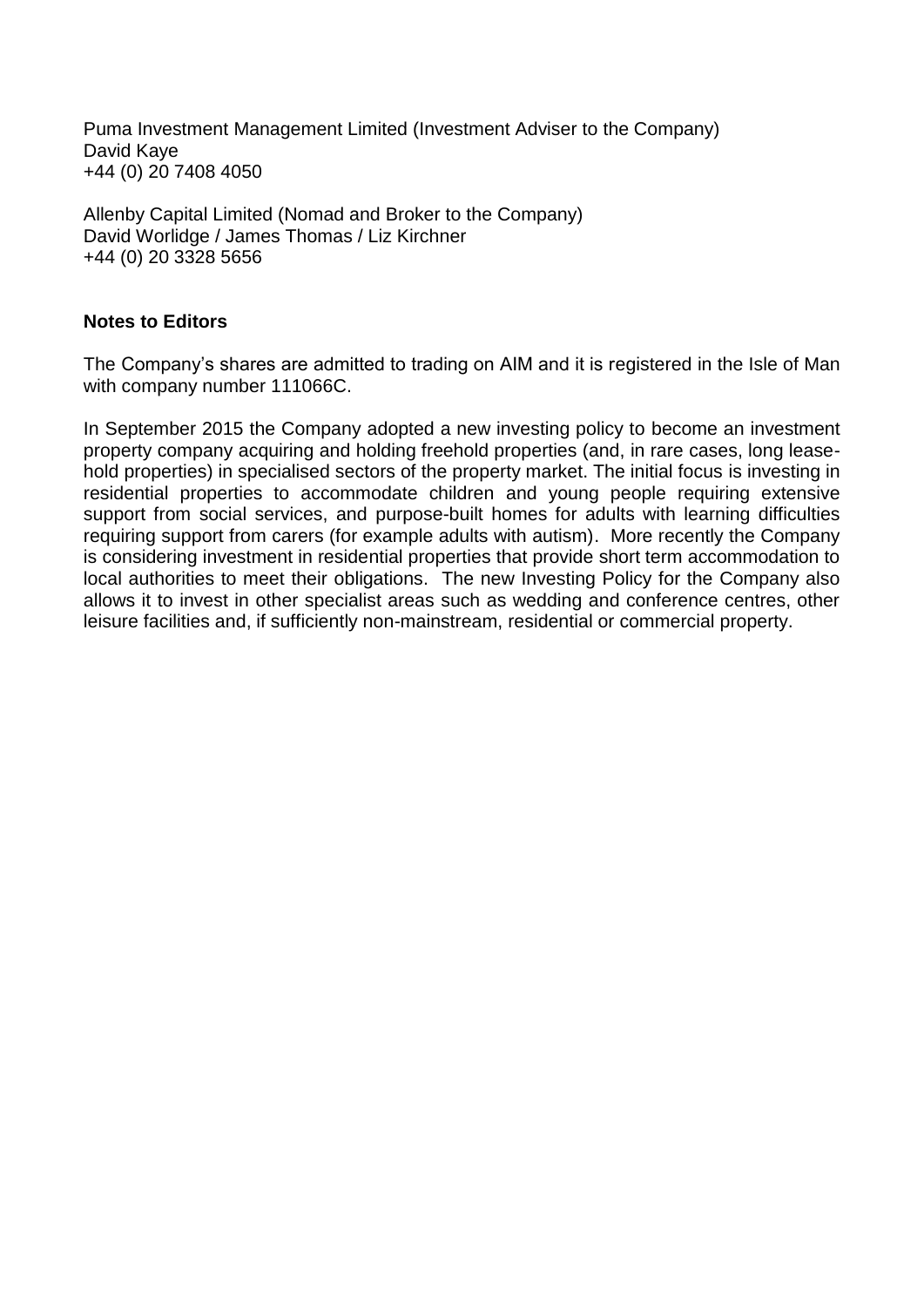Puma Investment Management Limited (Investment Adviser to the Company) David Kaye +44 (0) 20 7408 4050

Allenby Capital Limited (Nomad and Broker to the Company) David Worlidge / James Thomas / Liz Kirchner +44 (0) 20 3328 5656

# **Notes to Editors**

The Company's shares are admitted to trading on AIM and it is registered in the Isle of Man with company number 111066C.

In September 2015 the Company adopted a new investing policy to become an investment property company acquiring and holding freehold properties (and, in rare cases, long leasehold properties) in specialised sectors of the property market. The initial focus is investing in residential properties to accommodate children and young people requiring extensive support from social services, and purpose-built homes for adults with learning difficulties requiring support from carers (for example adults with autism). More recently the Company is considering investment in residential properties that provide short term accommodation to local authorities to meet their obligations. The new Investing Policy for the Company also allows it to invest in other specialist areas such as wedding and conference centres, other leisure facilities and, if sufficiently non-mainstream, residential or commercial property.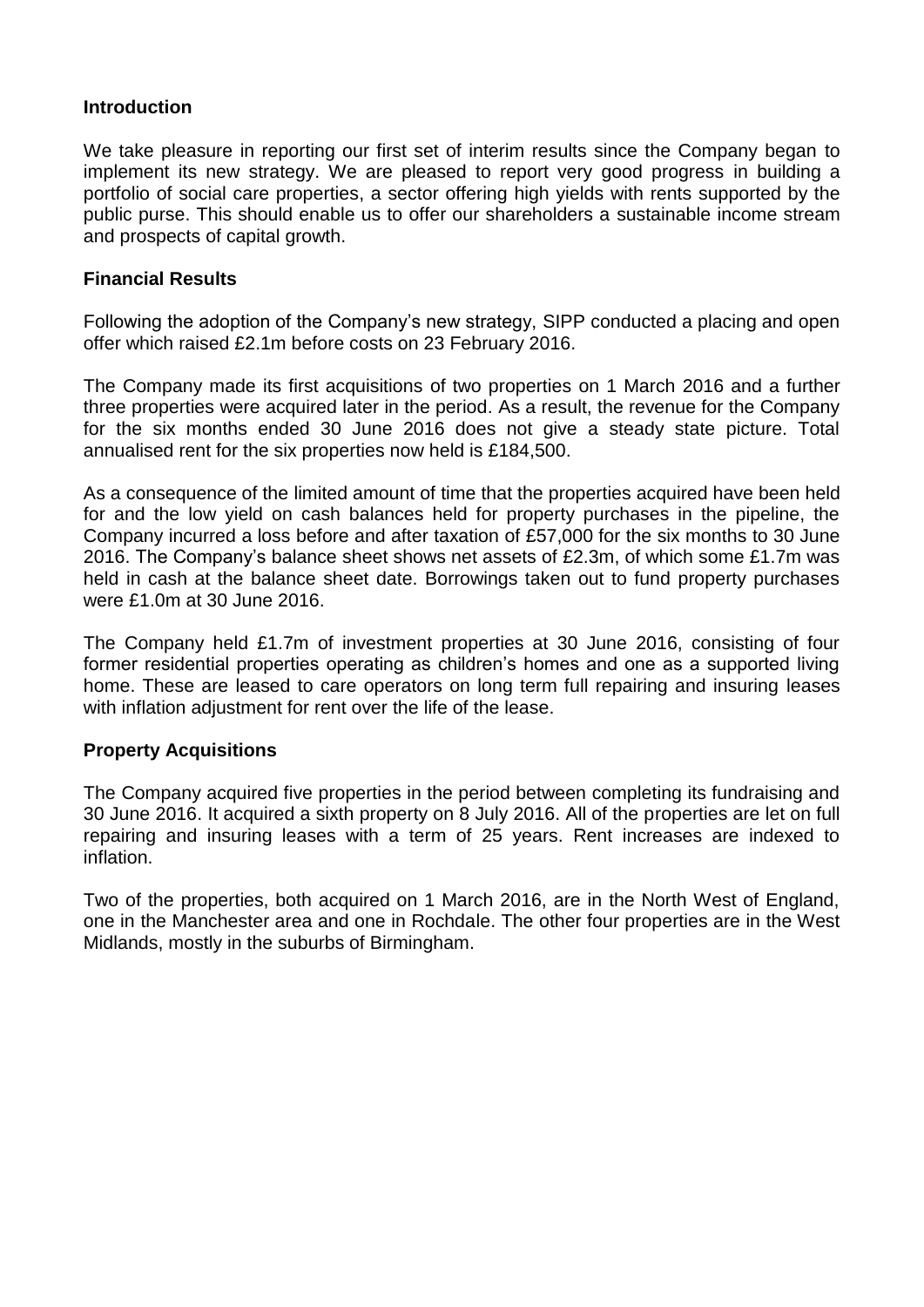# **Introduction**

We take pleasure in reporting our first set of interim results since the Company began to implement its new strategy. We are pleased to report very good progress in building a portfolio of social care properties, a sector offering high yields with rents supported by the public purse. This should enable us to offer our shareholders a sustainable income stream and prospects of capital growth.

# **Financial Results**

Following the adoption of the Company's new strategy, SIPP conducted a placing and open offer which raised £2.1m before costs on 23 February 2016.

The Company made its first acquisitions of two properties on 1 March 2016 and a further three properties were acquired later in the period. As a result, the revenue for the Company for the six months ended 30 June 2016 does not give a steady state picture. Total annualised rent for the six properties now held is £184,500.

As a consequence of the limited amount of time that the properties acquired have been held for and the low yield on cash balances held for property purchases in the pipeline, the Company incurred a loss before and after taxation of £57,000 for the six months to 30 June 2016. The Company's balance sheet shows net assets of £2.3m, of which some £1.7m was held in cash at the balance sheet date. Borrowings taken out to fund property purchases were £1.0m at 30 June 2016.

The Company held £1.7m of investment properties at 30 June 2016, consisting of four former residential properties operating as children's homes and one as a supported living home. These are leased to care operators on long term full repairing and insuring leases with inflation adjustment for rent over the life of the lease.

# **Property Acquisitions**

The Company acquired five properties in the period between completing its fundraising and 30 June 2016. It acquired a sixth property on 8 July 2016. All of the properties are let on full repairing and insuring leases with a term of 25 years. Rent increases are indexed to inflation.

Two of the properties, both acquired on 1 March 2016, are in the North West of England, one in the Manchester area and one in Rochdale. The other four properties are in the West Midlands, mostly in the suburbs of Birmingham.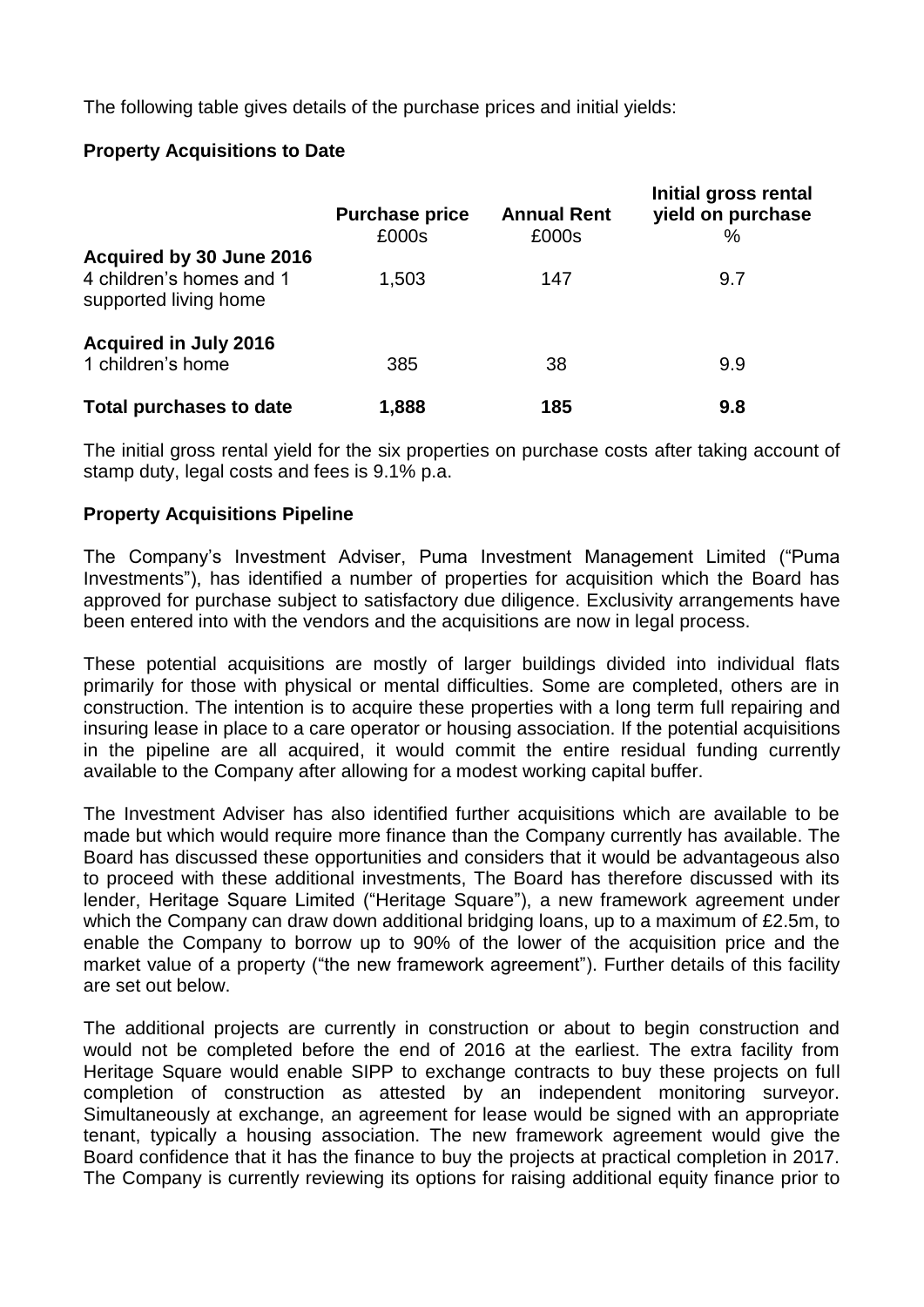The following table gives details of the purchase prices and initial yields:

# **Property Acquisitions to Date**

|                                                                               | <b>Purchase price</b><br>£000s | <b>Annual Rent</b><br>£000s | Initial gross rental<br>yield on purchase<br>$\%$ |
|-------------------------------------------------------------------------------|--------------------------------|-----------------------------|---------------------------------------------------|
| Acquired by 30 June 2016<br>4 children's homes and 1<br>supported living home | 1,503                          | 147                         | 9.7                                               |
| <b>Acquired in July 2016</b><br>1 children's home                             | 385                            | 38                          | 9.9                                               |
| <b>Total purchases to date</b>                                                | 1,888                          | 185                         | 9.8                                               |

The initial gross rental yield for the six properties on purchase costs after taking account of stamp duty, legal costs and fees is 9.1% p.a.

# **Property Acquisitions Pipeline**

The Company's Investment Adviser, Puma Investment Management Limited ("Puma Investments"), has identified a number of properties for acquisition which the Board has approved for purchase subject to satisfactory due diligence. Exclusivity arrangements have been entered into with the vendors and the acquisitions are now in legal process.

These potential acquisitions are mostly of larger buildings divided into individual flats primarily for those with physical or mental difficulties. Some are completed, others are in construction. The intention is to acquire these properties with a long term full repairing and insuring lease in place to a care operator or housing association. If the potential acquisitions in the pipeline are all acquired, it would commit the entire residual funding currently available to the Company after allowing for a modest working capital buffer.

The Investment Adviser has also identified further acquisitions which are available to be made but which would require more finance than the Company currently has available. The Board has discussed these opportunities and considers that it would be advantageous also to proceed with these additional investments, The Board has therefore discussed with its lender, Heritage Square Limited ("Heritage Square"), a new framework agreement under which the Company can draw down additional bridging loans, up to a maximum of £2.5m, to enable the Company to borrow up to 90% of the lower of the acquisition price and the market value of a property ("the new framework agreement"). Further details of this facility are set out below.

The additional projects are currently in construction or about to begin construction and would not be completed before the end of 2016 at the earliest. The extra facility from Heritage Square would enable SIPP to exchange contracts to buy these projects on full completion of construction as attested by an independent monitoring surveyor. Simultaneously at exchange, an agreement for lease would be signed with an appropriate tenant, typically a housing association. The new framework agreement would give the Board confidence that it has the finance to buy the projects at practical completion in 2017. The Company is currently reviewing its options for raising additional equity finance prior to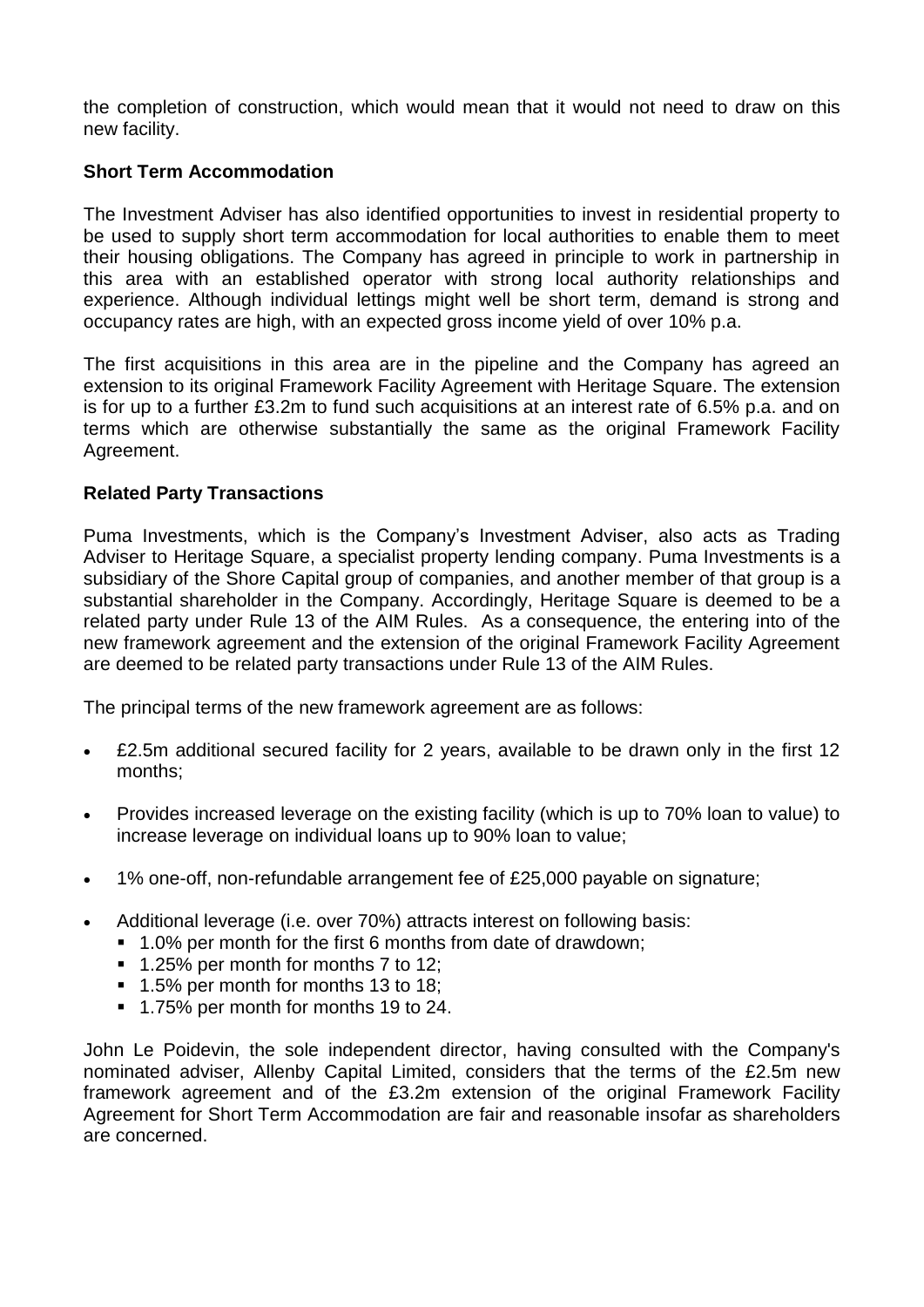the completion of construction, which would mean that it would not need to draw on this new facility.

# **Short Term Accommodation**

The Investment Adviser has also identified opportunities to invest in residential property to be used to supply short term accommodation for local authorities to enable them to meet their housing obligations. The Company has agreed in principle to work in partnership in this area with an established operator with strong local authority relationships and experience. Although individual lettings might well be short term, demand is strong and occupancy rates are high, with an expected gross income yield of over 10% p.a.

The first acquisitions in this area are in the pipeline and the Company has agreed an extension to its original Framework Facility Agreement with Heritage Square. The extension is for up to a further £3.2m to fund such acquisitions at an interest rate of 6.5% p.a. and on terms which are otherwise substantially the same as the original Framework Facility Agreement.

# **Related Party Transactions**

Puma Investments, which is the Company's Investment Adviser, also acts as Trading Adviser to Heritage Square, a specialist property lending company. Puma Investments is a subsidiary of the Shore Capital group of companies, and another member of that group is a substantial shareholder in the Company. Accordingly, Heritage Square is deemed to be a related party under Rule 13 of the AIM Rules. As a consequence, the entering into of the new framework agreement and the extension of the original Framework Facility Agreement are deemed to be related party transactions under Rule 13 of the AIM Rules.

The principal terms of the new framework agreement are as follows:

- £2.5m additional secured facility for 2 years, available to be drawn only in the first 12 months;
- Provides increased leverage on the existing facility (which is up to 70% loan to value) to increase leverage on individual loans up to 90% loan to value;
- 1% one-off, non-refundable arrangement fee of £25,000 payable on signature;
- Additional leverage (i.e. over 70%) attracts interest on following basis:
	- 1.0% per month for the first 6 months from date of drawdown;
	- 1.25% per month for months 7 to 12;
	- 1.5% per month for months 13 to 18;
	- 1.75% per month for months 19 to 24.

John Le Poidevin, the sole independent director, having consulted with the Company's nominated adviser, Allenby Capital Limited, considers that the terms of the £2.5m new framework agreement and of the £3.2m extension of the original Framework Facility Agreement for Short Term Accommodation are fair and reasonable insofar as shareholders are concerned.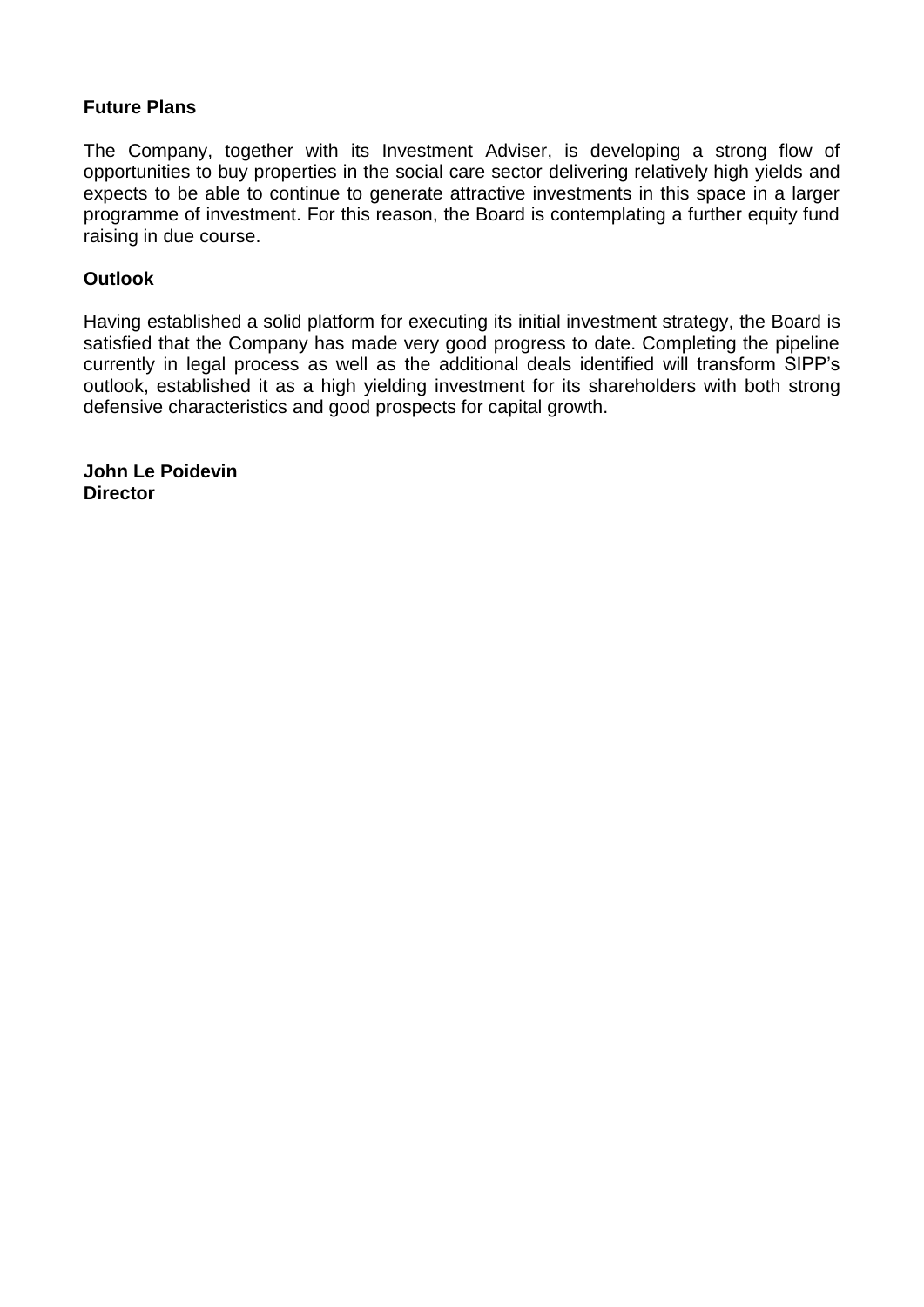# **Future Plans**

The Company, together with its Investment Adviser, is developing a strong flow of opportunities to buy properties in the social care sector delivering relatively high yields and expects to be able to continue to generate attractive investments in this space in a larger programme of investment. For this reason, the Board is contemplating a further equity fund raising in due course.

## **Outlook**

Having established a solid platform for executing its initial investment strategy, the Board is satisfied that the Company has made very good progress to date. Completing the pipeline currently in legal process as well as the additional deals identified will transform SIPP's outlook, established it as a high yielding investment for its shareholders with both strong defensive characteristics and good prospects for capital growth.

**John Le Poidevin Director**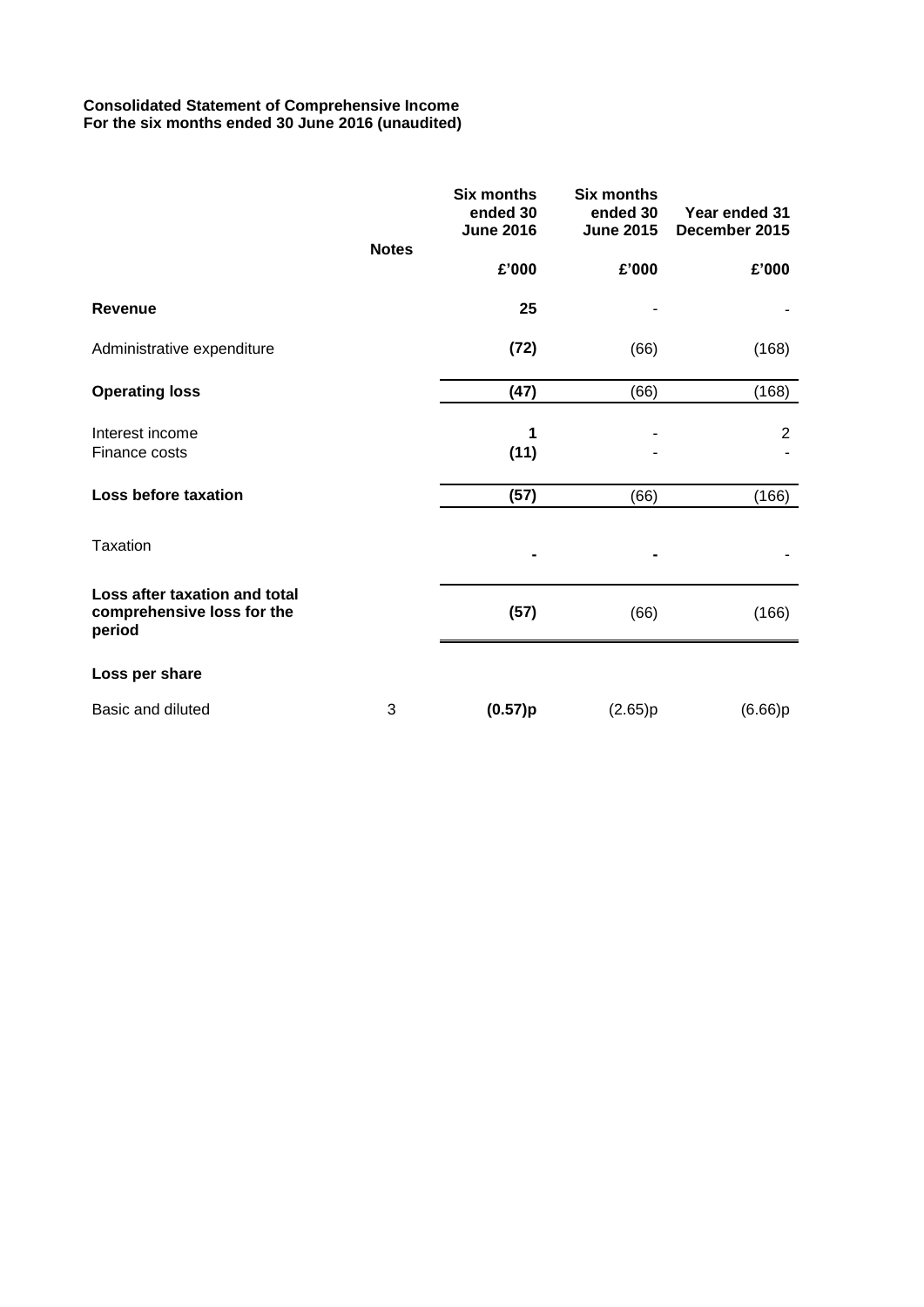## **Consolidated Statement of Comprehensive Income For the six months ended 30 June 2016 (unaudited)**

|                                                                       |              | <b>Six months</b><br>ended 30<br><b>June 2016</b> | <b>Six months</b><br>ended 30<br><b>June 2015</b> | Year ended 31<br>December 2015 |
|-----------------------------------------------------------------------|--------------|---------------------------------------------------|---------------------------------------------------|--------------------------------|
|                                                                       | <b>Notes</b> | £'000                                             | £'000                                             | £'000                          |
| <b>Revenue</b>                                                        |              | 25                                                |                                                   |                                |
| Administrative expenditure                                            |              | (72)                                              | (66)                                              | (168)                          |
| <b>Operating loss</b>                                                 |              | (47)                                              | (66)                                              | (168)                          |
| Interest income<br>Finance costs                                      |              | 1<br>(11)                                         |                                                   | $\overline{2}$                 |
| Loss before taxation                                                  |              | (57)                                              | (66)                                              | (166)                          |
| <b>Taxation</b>                                                       |              |                                                   |                                                   |                                |
| Loss after taxation and total<br>comprehensive loss for the<br>period |              | (57)                                              | (66)                                              | (166)                          |
| Loss per share                                                        |              |                                                   |                                                   |                                |
| Basic and diluted                                                     | 3            | (0.57)p                                           | (2.65)p                                           | (6.66)p                        |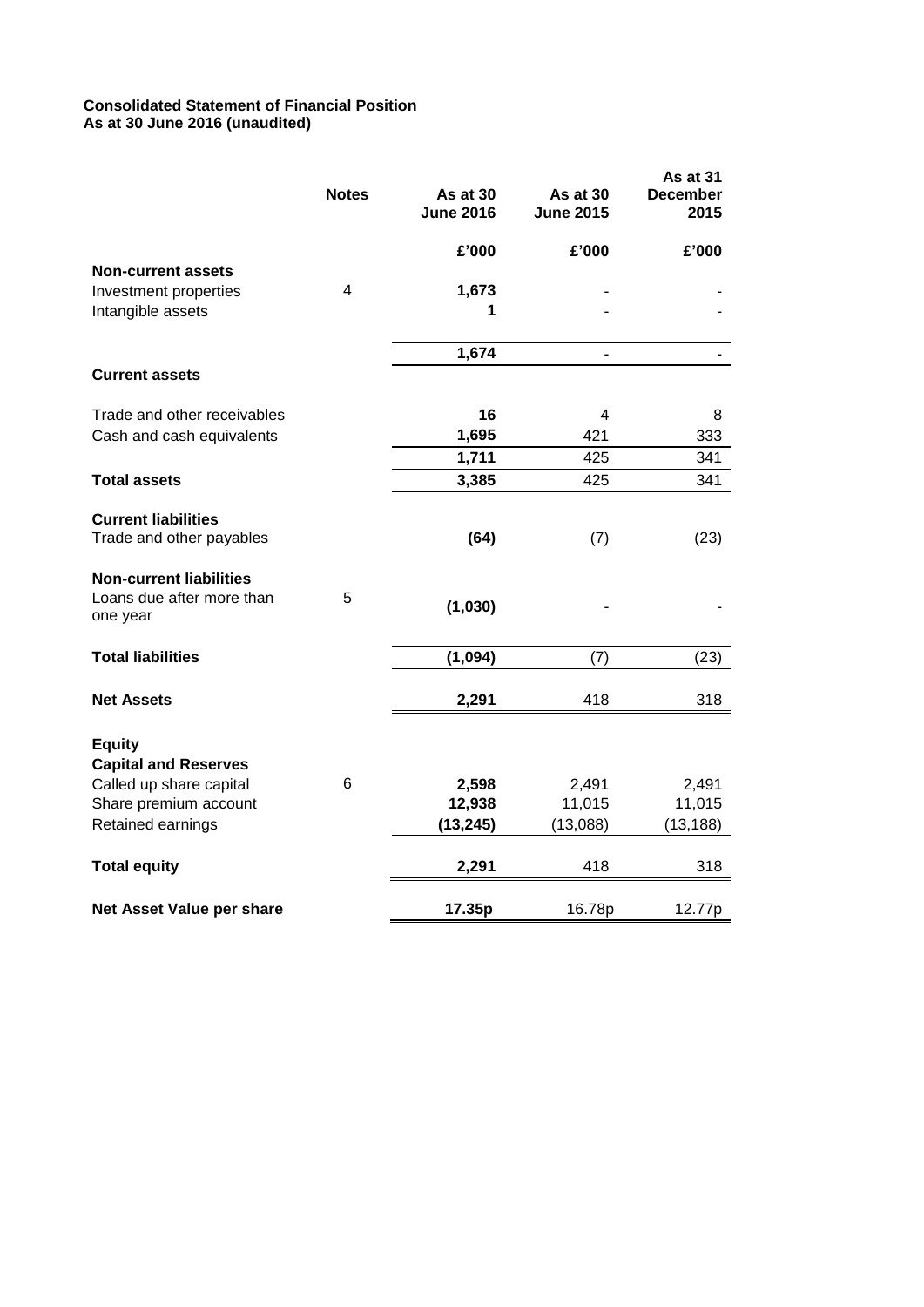## **Consolidated Statement of Financial Position As at 30 June 2016 (unaudited)**

|                                              | <b>Notes</b> | As at 30<br><b>June 2016</b> | As at 30<br><b>June 2015</b> | As at 31<br><b>December</b><br>2015 |
|----------------------------------------------|--------------|------------------------------|------------------------------|-------------------------------------|
|                                              |              | £'000                        | £'000                        | £'000                               |
| <b>Non-current assets</b>                    |              |                              |                              |                                     |
| Investment properties                        | 4            | 1,673                        |                              |                                     |
| Intangible assets                            |              | 1                            |                              |                                     |
|                                              |              | 1,674                        | $\blacksquare$               | $\overline{\phantom{0}}$            |
| <b>Current assets</b>                        |              |                              |                              |                                     |
| Trade and other receivables                  |              | 16                           | 4                            | 8                                   |
| Cash and cash equivalents                    |              | 1,695                        | 421                          | 333                                 |
|                                              |              | 1,711                        | 425                          | 341                                 |
| <b>Total assets</b>                          |              | 3,385                        | 425                          | 341                                 |
| <b>Current liabilities</b>                   |              |                              |                              |                                     |
| Trade and other payables                     |              | (64)                         | (7)                          | (23)                                |
| <b>Non-current liabilities</b>               |              |                              |                              |                                     |
| Loans due after more than<br>one year        | 5            | (1,030)                      |                              |                                     |
| <b>Total liabilities</b>                     |              | (1,094)                      | (7)                          | (23)                                |
| <b>Net Assets</b>                            |              | 2,291                        | 418                          | 318                                 |
| <b>Equity</b><br><b>Capital and Reserves</b> |              |                              |                              |                                     |
| Called up share capital                      | 6            | 2,598                        | 2,491                        | 2,491                               |
| Share premium account                        |              | 12,938                       | 11,015                       | 11,015                              |
| Retained earnings                            |              | (13, 245)                    | (13,088)                     | (13, 188)                           |
| <b>Total equity</b>                          |              | 2,291                        | 418                          | 318                                 |
| Net Asset Value per share                    |              | 17.35p                       | 16.78p                       | 12.77p                              |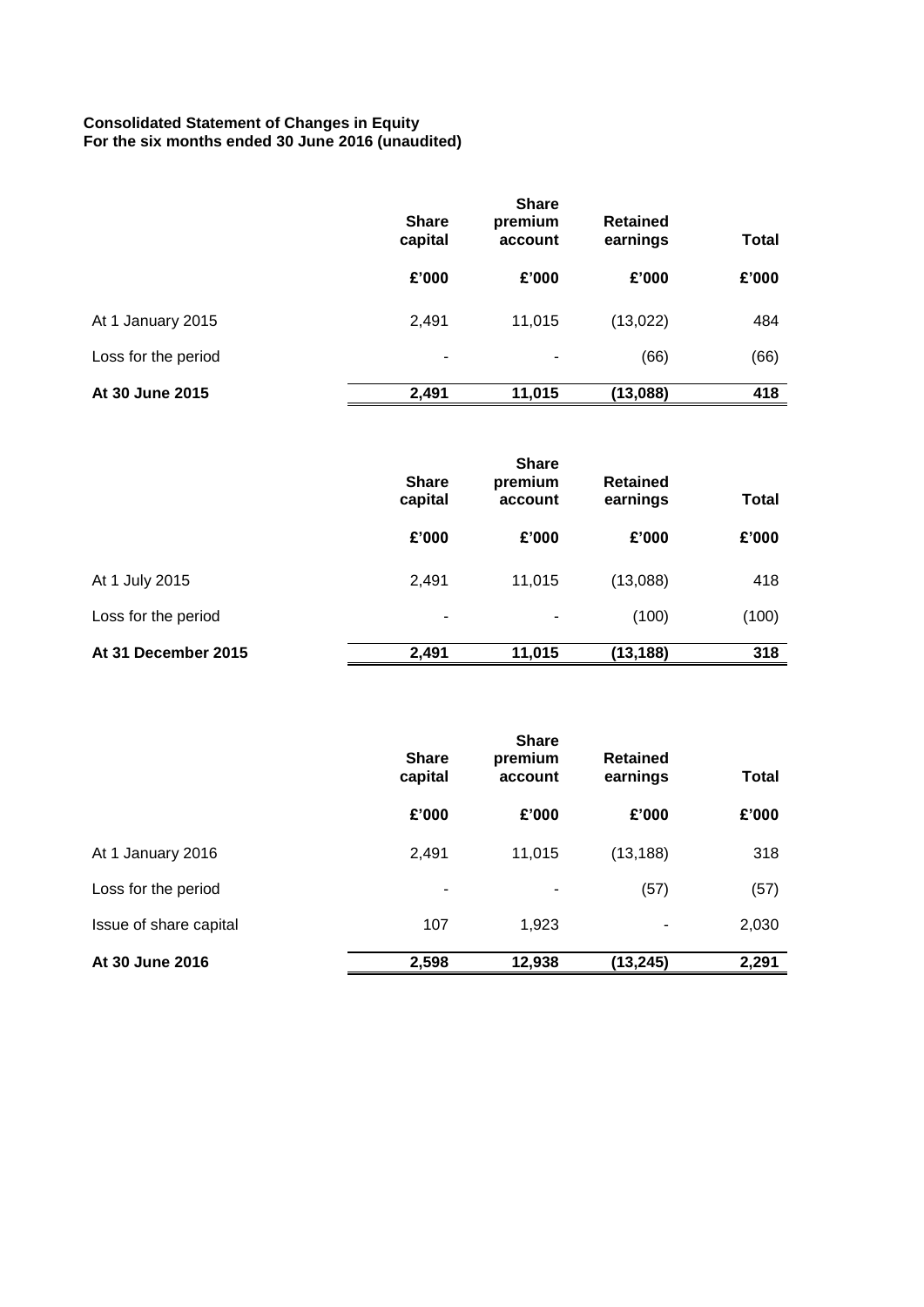### **Consolidated Statement of Changes in Equity For the six months ended 30 June 2016 (unaudited)**

|                     | <b>Share</b><br>capital | <b>Share</b><br>premium<br>account | <b>Retained</b><br>earnings | <b>Total</b> |
|---------------------|-------------------------|------------------------------------|-----------------------------|--------------|
|                     | £'000                   | £'000                              | £'000                       | £'000        |
| At 1 January 2015   | 2,491                   | 11,015                             | (13,022)                    | 484          |
| Loss for the period | ۰                       |                                    | (66)                        | (66)         |
| At 30 June 2015     | 2,491                   | 11,015                             | (13,088)                    | 418          |

|                     | <b>Share</b><br>capital | <b>Share</b><br>premium<br>account | <b>Retained</b><br>earnings | <b>Total</b> |
|---------------------|-------------------------|------------------------------------|-----------------------------|--------------|
|                     | £'000                   | £'000                              | £'000                       | £'000        |
| At 1 July 2015      | 2,491                   | 11,015                             | (13,088)                    | 418          |
| Loss for the period | ۰                       |                                    | (100)                       | (100)        |
| At 31 December 2015 | 2,491                   | 11,015                             | (13, 188)                   | 318          |

|                        | <b>Share</b><br>capital | <b>Share</b><br>premium<br>account | <b>Retained</b><br>earnings | <b>Total</b> |
|------------------------|-------------------------|------------------------------------|-----------------------------|--------------|
|                        | £'000                   | £'000                              | £'000                       | £'000        |
| At 1 January 2016      | 2,491                   | 11,015                             | (13, 188)                   | 318          |
| Loss for the period    | ۰.                      | ٠                                  | (57)                        | (57)         |
| Issue of share capital | 107                     | 1,923                              | ۰                           | 2,030        |
| At 30 June 2016        | 2,598                   | 12,938                             | (13, 245)                   | 2,291        |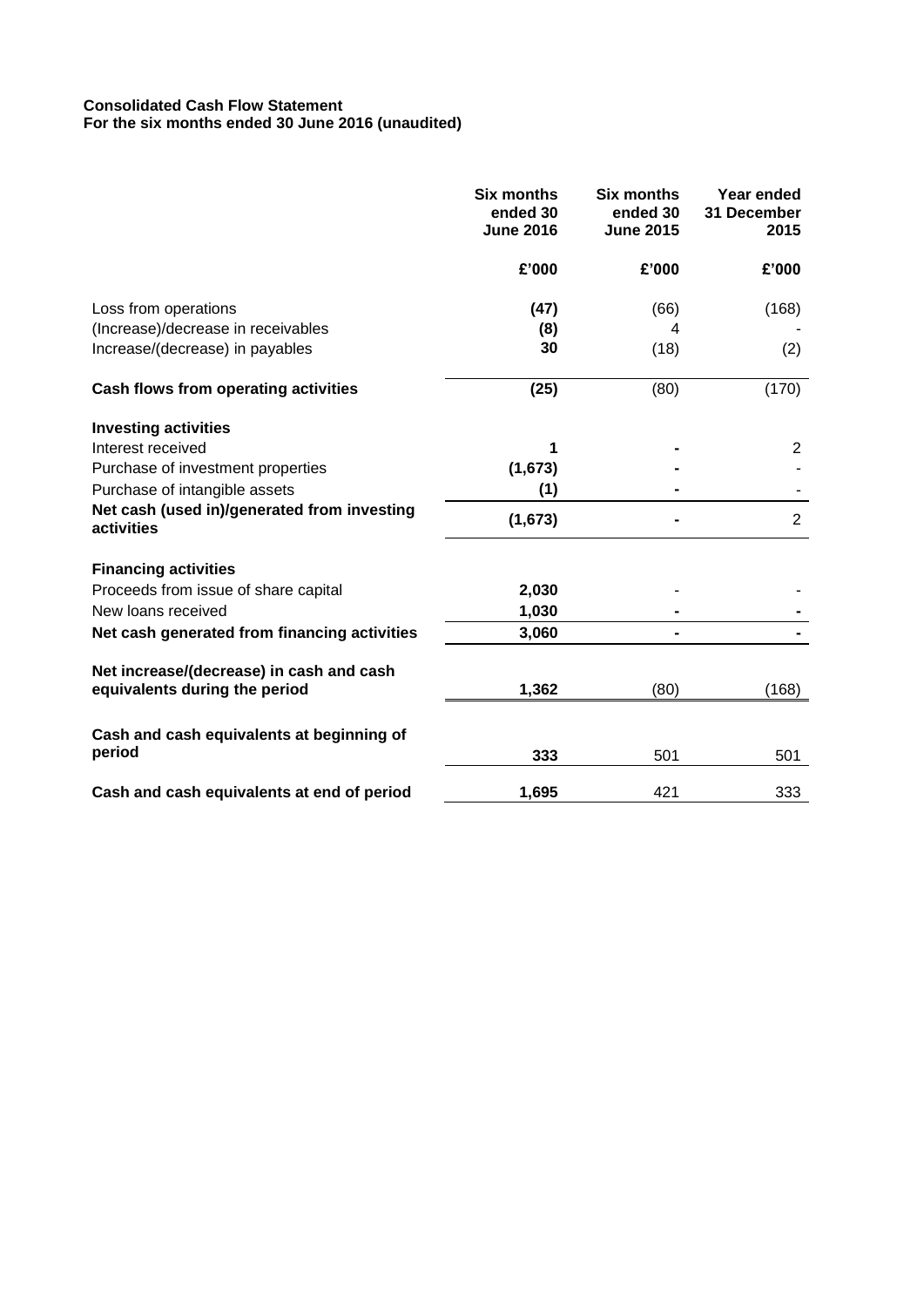## **Consolidated Cash Flow Statement For the six months ended 30 June 2016 (unaudited)**

|                                                           | <b>Six months</b><br>ended 30<br><b>June 2016</b> | <b>Six months</b><br>ended 30<br><b>June 2015</b> | Year ended<br>31 December<br>2015 |
|-----------------------------------------------------------|---------------------------------------------------|---------------------------------------------------|-----------------------------------|
|                                                           | £'000                                             | £'000                                             | £'000                             |
| Loss from operations                                      | (47)                                              | (66)                                              | (168)                             |
| (Increase)/decrease in receivables                        | (8)                                               | 4                                                 |                                   |
| Increase/(decrease) in payables                           | 30                                                | (18)                                              | (2)                               |
| Cash flows from operating activities                      | (25)                                              | (80)                                              | (170)                             |
| <b>Investing activities</b>                               |                                                   |                                                   |                                   |
| Interest received                                         | 1                                                 |                                                   | $\overline{2}$                    |
| Purchase of investment properties                         | (1,673)                                           |                                                   |                                   |
| Purchase of intangible assets                             | (1)                                               |                                                   |                                   |
| Net cash (used in)/generated from investing<br>activities | (1,673)                                           |                                                   | $\overline{2}$                    |
| <b>Financing activities</b>                               |                                                   |                                                   |                                   |
| Proceeds from issue of share capital                      | 2,030                                             |                                                   |                                   |
| New loans received                                        | 1,030                                             |                                                   |                                   |
| Net cash generated from financing activities              | 3,060                                             |                                                   |                                   |
| Net increase/(decrease) in cash and cash                  |                                                   |                                                   |                                   |
| equivalents during the period                             | 1,362                                             | (80)                                              | (168)                             |
| Cash and cash equivalents at beginning of                 |                                                   |                                                   |                                   |
| period                                                    | 333                                               | 501                                               | 501                               |
| Cash and cash equivalents at end of period                | 1,695                                             | 421                                               | 333                               |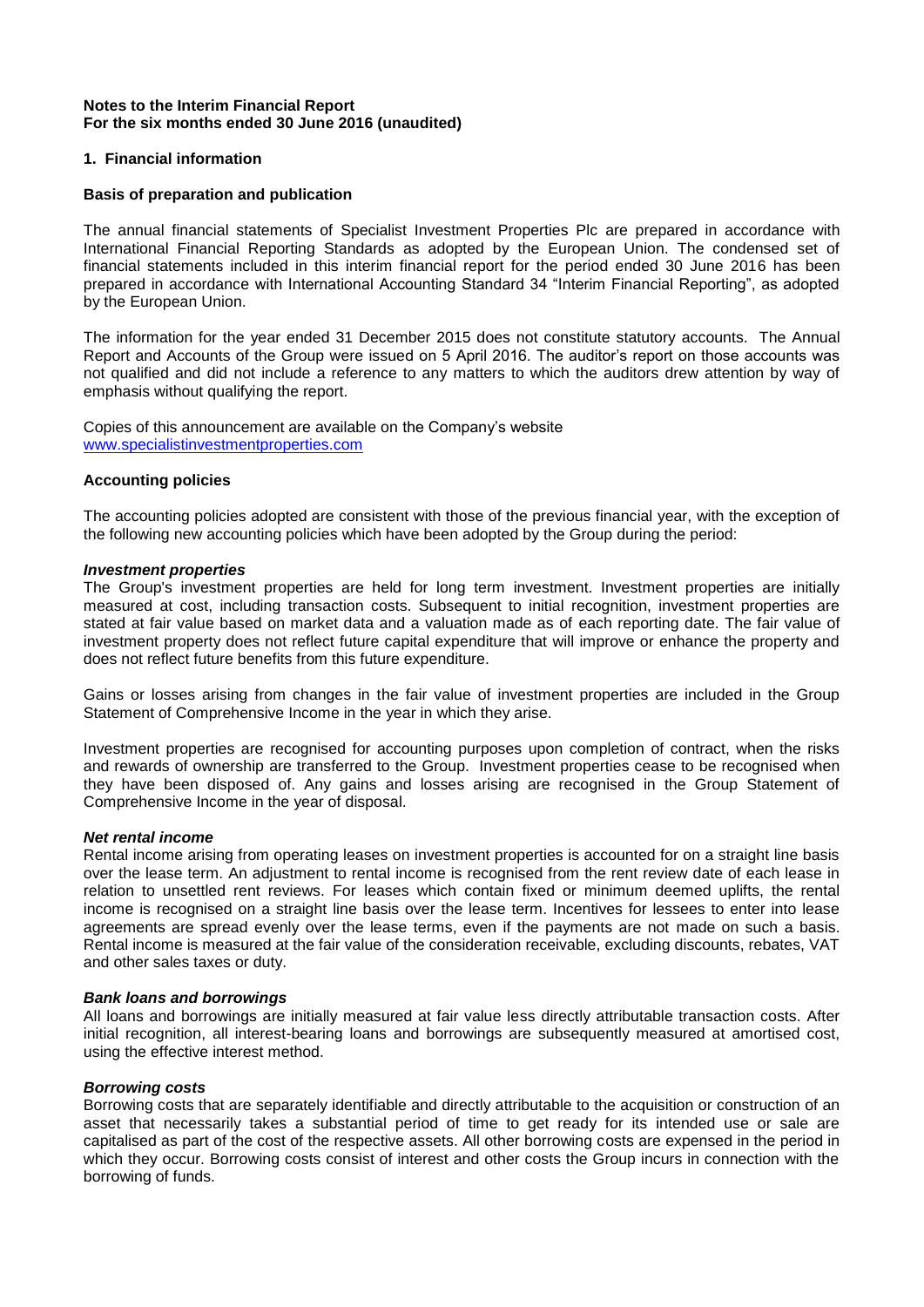## **Notes to the Interim Financial Report For the six months ended 30 June 2016 (unaudited)**

### **1. Financial information**

### **Basis of preparation and publication**

The annual financial statements of Specialist Investment Properties Plc are prepared in accordance with International Financial Reporting Standards as adopted by the European Union. The condensed set of financial statements included in this interim financial report for the period ended 30 June 2016 has been prepared in accordance with International Accounting Standard 34 "Interim Financial Reporting", as adopted by the European Union.

The information for the year ended 31 December 2015 does not constitute statutory accounts. The Annual Report and Accounts of the Group were issued on 5 April 2016. The auditor's report on those accounts was not qualified and did not include a reference to any matters to which the auditors drew attention by way of emphasis without qualifying the report.

Copies of this announcement are available on the Company's website [www.specialistinvestmentproperties.com](http://www.specialistinvestmentproperties.com/)

#### **Accounting policies**

The accounting policies adopted are consistent with those of the previous financial year, with the exception of the following new accounting policies which have been adopted by the Group during the period:

#### *Investment properties*

The Group's investment properties are held for long term investment. Investment properties are initially measured at cost, including transaction costs. Subsequent to initial recognition, investment properties are stated at fair value based on market data and a valuation made as of each reporting date. The fair value of investment property does not reflect future capital expenditure that will improve or enhance the property and does not reflect future benefits from this future expenditure.

Gains or losses arising from changes in the fair value of investment properties are included in the Group Statement of Comprehensive Income in the year in which they arise.

Investment properties are recognised for accounting purposes upon completion of contract, when the risks and rewards of ownership are transferred to the Group. Investment properties cease to be recognised when they have been disposed of. Any gains and losses arising are recognised in the Group Statement of Comprehensive Income in the year of disposal.

#### *Net rental income*

Rental income arising from operating leases on investment properties is accounted for on a straight line basis over the lease term. An adjustment to rental income is recognised from the rent review date of each lease in relation to unsettled rent reviews. For leases which contain fixed or minimum deemed uplifts, the rental income is recognised on a straight line basis over the lease term. Incentives for lessees to enter into lease agreements are spread evenly over the lease terms, even if the payments are not made on such a basis. Rental income is measured at the fair value of the consideration receivable, excluding discounts, rebates, VAT and other sales taxes or duty.

#### *Bank loans and borrowings*

All loans and borrowings are initially measured at fair value less directly attributable transaction costs. After initial recognition, all interest-bearing loans and borrowings are subsequently measured at amortised cost, using the effective interest method.

#### *Borrowing costs*

Borrowing costs that are separately identifiable and directly attributable to the acquisition or construction of an asset that necessarily takes a substantial period of time to get ready for its intended use or sale are capitalised as part of the cost of the respective assets. All other borrowing costs are expensed in the period in which they occur. Borrowing costs consist of interest and other costs the Group incurs in connection with the borrowing of funds.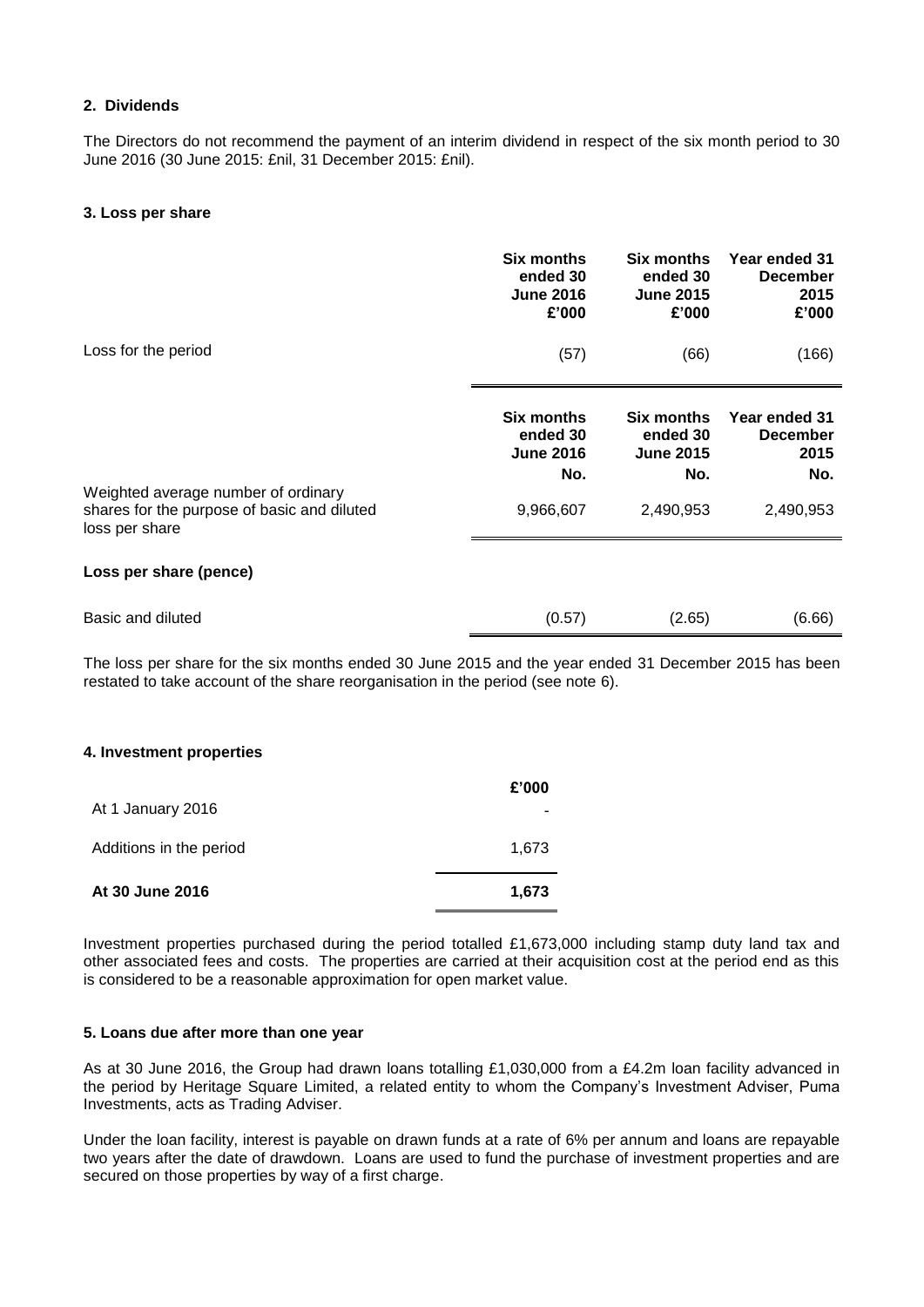## **2. Dividends**

The Directors do not recommend the payment of an interim dividend in respect of the six month period to 30 June 2016 (30 June 2015: £nil, 31 December 2015: £nil).

### **3. Loss per share**

|                                                                                                      | Six months<br>ended 30<br><b>June 2016</b><br>£'000 | <b>Six months</b><br>ended 30<br><b>June 2015</b><br>£'000 | Year ended 31<br><b>December</b><br>2015<br>£'000 |
|------------------------------------------------------------------------------------------------------|-----------------------------------------------------|------------------------------------------------------------|---------------------------------------------------|
| Loss for the period                                                                                  | (57)                                                | (66)                                                       | (166)                                             |
|                                                                                                      | Six months<br>ended 30<br><b>June 2016</b><br>No.   | <b>Six months</b><br>ended 30<br><b>June 2015</b><br>No.   | Year ended 31<br><b>December</b><br>2015<br>No.   |
| Weighted average number of ordinary<br>shares for the purpose of basic and diluted<br>loss per share | 9,966,607                                           | 2,490,953                                                  | 2,490,953                                         |
| Loss per share (pence)                                                                               |                                                     |                                                            |                                                   |
| Basic and diluted                                                                                    | (0.57)                                              | (2.65)                                                     | (6.66)                                            |

The loss per share for the six months ended 30 June 2015 and the year ended 31 December 2015 has been restated to take account of the share reorganisation in the period (see note 6).

#### **4. Investment properties**

| At 1 January 2016       | £'000 |
|-------------------------|-------|
| Additions in the period | 1.673 |
| At 30 June 2016         | 1,673 |

Investment properties purchased during the period totalled £1,673,000 including stamp duty land tax and other associated fees and costs. The properties are carried at their acquisition cost at the period end as this is considered to be a reasonable approximation for open market value.

#### **5. Loans due after more than one year**

As at 30 June 2016, the Group had drawn loans totalling £1,030,000 from a £4.2m loan facility advanced in the period by Heritage Square Limited, a related entity to whom the Company's Investment Adviser, Puma Investments, acts as Trading Adviser.

Under the loan facility, interest is payable on drawn funds at a rate of 6% per annum and loans are repayable two years after the date of drawdown. Loans are used to fund the purchase of investment properties and are secured on those properties by way of a first charge.